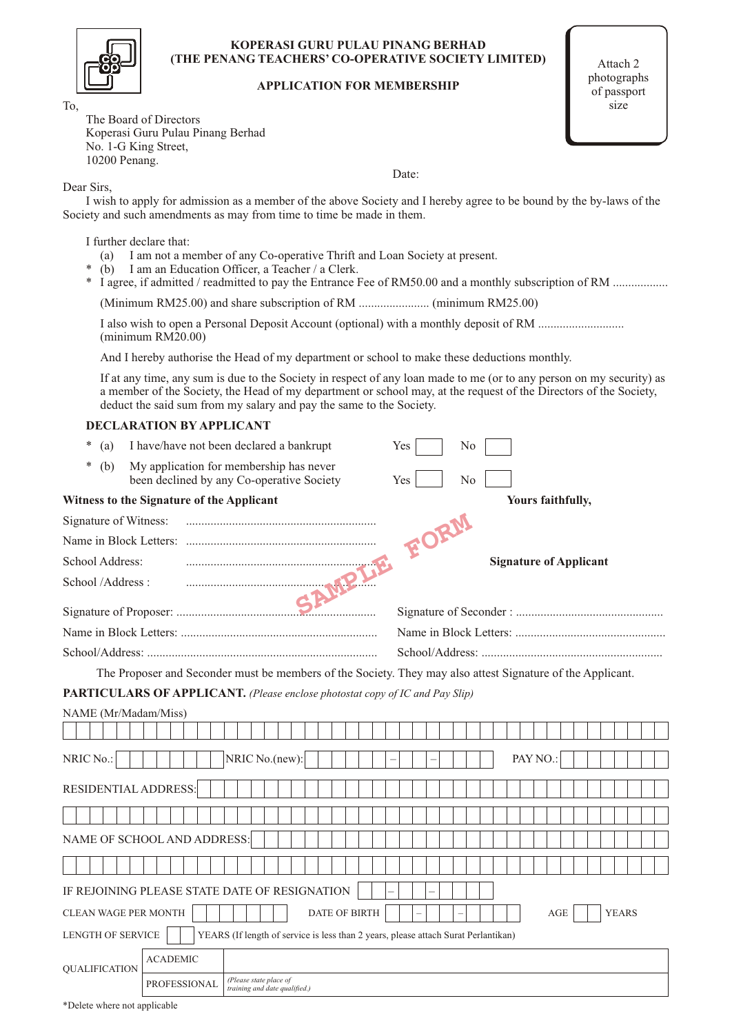|--|

#### **KOPERASI GURU PULAU PINANG BERHAD (THE PENANG TEACHERS' CO-OPERATIVE SOCIETY LIMITED)**

#### **APPLICATION FOR MEMBERSHIP**

Attach 2 photographs of passport size

The Board of Directors Koperasi Guru Pulau Pinang Berhad No. 1-G King Street, 10200 Penang.

Date:

Dear Sirs,

To,

I wish to apply for admission as a member of the above Society and I hereby agree to be bound by the by-laws of the Society and such amendments as may from time to time be made in them.

I further declare that:

- (a) I am not a member of any Co-operative Thrift and Loan Society at present.
- \* (b) I am an Education Officer, a Teacher  $\alpha$  Clerk.
- \* I agree, if admitted / readmitted to pay the Entrance Fee of RM50.00 and a monthly subscription of RM ..................

(Minimum RM25.00) and share subscription of RM ....................... (minimum RM25.00)

I also wish to open a Personal Deposit Account (optional) with a monthly deposit of RM ............................ (minimum RM20.00)

And I hereby authorise the Head of my department or school to make these deductions monthly.

If at any time, any sum is due to the Society in respect of any loan made to me (or to any person on my security) as a member of the Society, the Head of my department or school may, at the request of the Directors of the Society, deduct the said sum from my salary and pay the same to the Society.

| $\ast$<br>(a)         |                                           | I have/have not been declared a bankrupt                                                                   | Yes  | No |                               |
|-----------------------|-------------------------------------------|------------------------------------------------------------------------------------------------------------|------|----|-------------------------------|
| *<br>(b)              |                                           | My application for membership has never<br>been declined by any Co-operative Society                       | Yes  | No |                               |
|                       | Witness to the Signature of the Applicant |                                                                                                            |      |    | Yours faithfully,             |
| Signature of Witness: |                                           |                                                                                                            | FORM |    |                               |
|                       |                                           |                                                                                                            |      |    |                               |
| School Address:       |                                           |                                                                                                            |      |    | <b>Signature of Applicant</b> |
| School /Address:      |                                           | <b>M.B.T</b>                                                                                               |      |    |                               |
|                       |                                           |                                                                                                            |      |    |                               |
|                       |                                           |                                                                                                            |      |    |                               |
|                       |                                           |                                                                                                            |      |    |                               |
|                       |                                           | The Proposer and Seconder must be members of the Society. They may also attest Signature of the Applicant. |      |    |                               |
|                       |                                           | <b>PARTICULARS OF APPLICANT.</b> (Please enclose photostat copy of IC and Pay Slip)                        |      |    |                               |
| NAME (Mr/Madam/Miss)  |                                           |                                                                                                            |      |    |                               |
| NRIC No.:             |                                           | NRIC No.(new):                                                                                             |      |    | PAY NO.:                      |
| RESIDENTIAL ADDRESS:  |                                           |                                                                                                            |      |    |                               |
|                       |                                           |                                                                                                            |      |    |                               |
|                       | NAME OF SCHOOL AND ADDRESS:               |                                                                                                            |      |    |                               |
|                       |                                           |                                                                                                            |      |    |                               |
|                       |                                           | IF REJOINING PLEASE STATE DATE OF RESIGNATION                                                              |      |    |                               |
| CLEAN WAGE PER MONTH  |                                           | DATE OF BIRTH                                                                                              |      |    | <b>YEARS</b><br>AGE           |
| LENGTH OF SERVICE     |                                           | YEARS (If length of service is less than 2 years, please attach Surat Perlantikan)                         |      |    |                               |
| <b>QUALIFICATION</b>  | <b>ACADEMIC</b>                           |                                                                                                            |      |    |                               |
|                       | PROFESSIONAL                              | (Please state place of<br>training and date qualified.)                                                    |      |    |                               |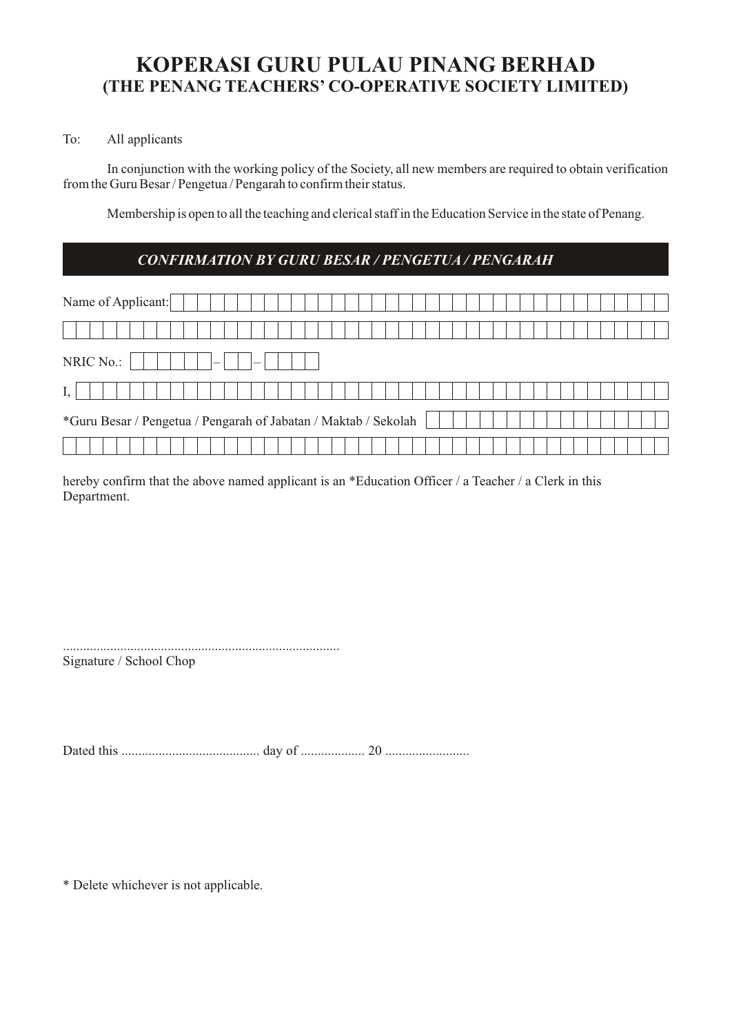# **KOPERASI GURU PULAU PINANG BERHAD (THE PENANG TEACHERS' CO-OPERATIVE SOCIETY LIMITED)**

### To: All applicants

In conjunction with the working policy of the Society, all new members are required to obtain verification from the Guru Besar / Pengetua / Pengarah to confirm their status.

Membership is open to all the teaching and clerical staff in the Education Service in the state of Penang.

### *CONFIRMATION BY GURU BESAR / PENGETUA / PENGARAH*

| Name of Applicant:                                              |  |
|-----------------------------------------------------------------|--|
|                                                                 |  |
| NRIC No.:<br>$-$<br>$-$                                         |  |
|                                                                 |  |
| *Guru Besar / Pengetua / Pengarah of Jabatan / Maktab / Sekolah |  |
|                                                                 |  |

hereby confirm that the above named applicant is an \*Education Officer / a Teacher / a Clerk in this Department.

.................................................................................. Signature / School Chop

Dated this ......................................... day of ................... 20 .........................

\* Delete whichever is not applicable.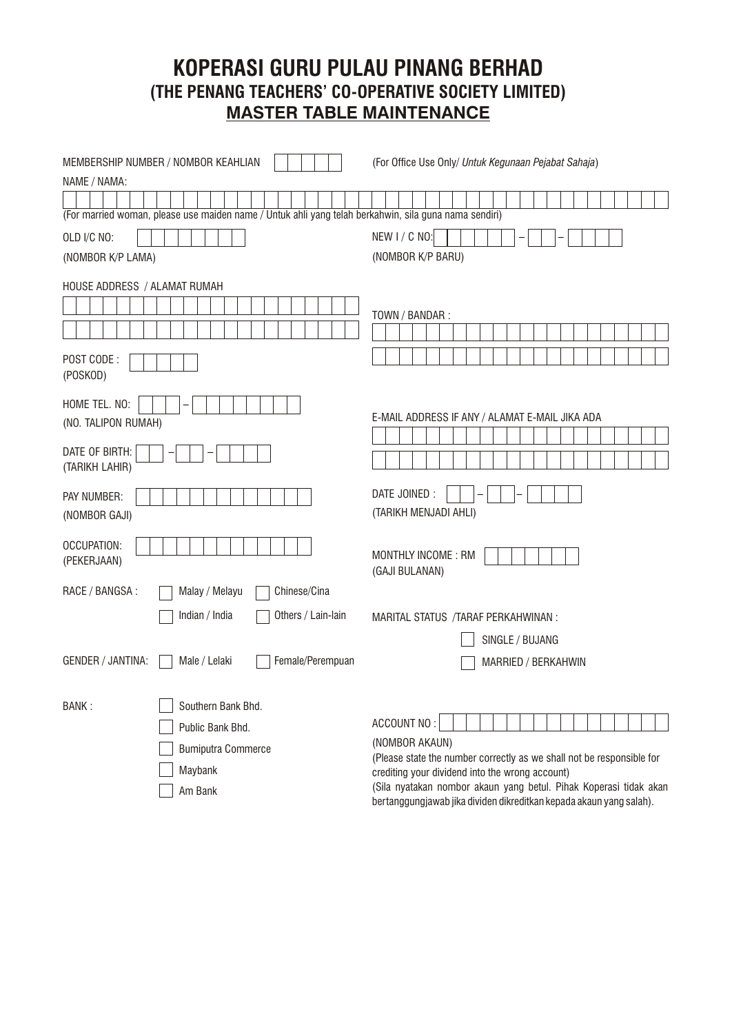# **KOPERASI GURU PULAU PINANG BERHAD (THE PENANG TEACHERS' CO-OPERATIVE SOCIETY LIMITED) MASTER TABLE MAINTENANCE**

| MEMBERSHIP NUMBER / NOMBOR KEAHLIAN                                                                   | (For Office Use Only/ Untuk Kegunaan Pejabat Sahaja)                                                                                     |
|-------------------------------------------------------------------------------------------------------|------------------------------------------------------------------------------------------------------------------------------------------|
| NAME / NAMA:                                                                                          |                                                                                                                                          |
|                                                                                                       |                                                                                                                                          |
| (For married woman, please use maiden name / Untuk ahli yang telah berkahwin, sila guna nama sendiri) |                                                                                                                                          |
| OLD I/C NO:                                                                                           | NEW I/C NO:                                                                                                                              |
| (NOMBOR K/P LAMA)                                                                                     | (NOMBOR K/P BARU)                                                                                                                        |
| HOUSE ADDRESS / ALAMAT RUMAH                                                                          |                                                                                                                                          |
|                                                                                                       | TOWN / BANDAR:                                                                                                                           |
|                                                                                                       |                                                                                                                                          |
| POST CODE:<br>(POSKOD)                                                                                |                                                                                                                                          |
| HOME TEL. NO:<br>(NO. TALIPON RUMAH)                                                                  | E-MAIL ADDRESS IF ANY / ALAMAT E-MAIL JIKA ADA                                                                                           |
| DATE OF BIRTH:<br>(TARIKH LAHIR)                                                                      |                                                                                                                                          |
| PAY NUMBER:<br>(NOMBOR GAJI)                                                                          | DATE JOINED :<br>(TARIKH MENJADI AHLI)                                                                                                   |
| OCCUPATION:<br>(PEKERJAAN)                                                                            | MONTHLY INCOME: RM<br>(GAJI BULANAN)                                                                                                     |
| Chinese/Cina<br>RACE / BANGSA :<br>Malay / Melayu                                                     |                                                                                                                                          |
| Indian / India<br>Others / Lain-lain                                                                  | MARITAL STATUS / TARAF PERKAHWINAN :                                                                                                     |
|                                                                                                       | SINGLE / BUJANG                                                                                                                          |
| GENDER / JANTINA:<br>Female/Perempuan<br>Male / Lelaki                                                | MARRIED / BERKAHWIN                                                                                                                      |
| Southern Bank Bhd.<br>BANK:                                                                           |                                                                                                                                          |
| Public Bank Bhd.                                                                                      | ACCOUNT NO:                                                                                                                              |
| <b>Bumiputra Commerce</b>                                                                             | (NOMBOR AKAUN)<br>(Please state the number correctly as we shall not be responsible for                                                  |
| Maybank                                                                                               | crediting your dividend into the wrong account)                                                                                          |
| Am Bank                                                                                               | (Sila nyatakan nombor akaun yang betul. Pihak Koperasi tidak akan<br>bertanggungjawab jika dividen dikreditkan kepada akaun yang salah). |